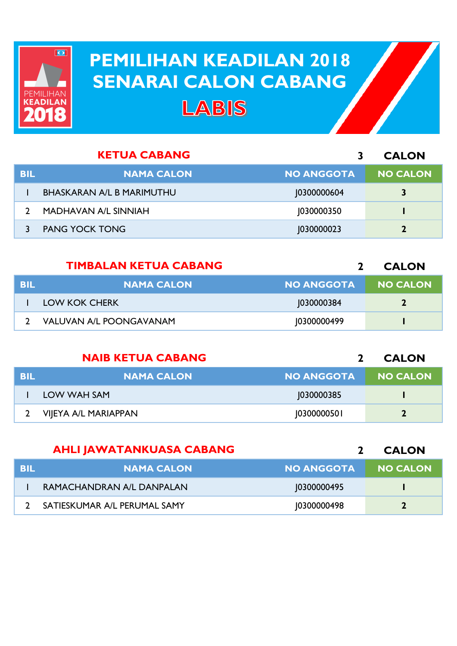

## **PEMILIHAN KEADILAN 2018 PEMILIHAN KEADILAN 2018 SENARAI CALON CABANG SENARAI CALON CABANG**LABIS

| <b>KETUA CABANG</b> |                                  |                   | <b>CALON</b>    |
|---------------------|----------------------------------|-------------------|-----------------|
| <b>BIL</b>          | <b>NAMA CALON</b>                | <b>NO ANGGOTA</b> | <b>NO CALON</b> |
|                     | <b>BHASKARAN A/L B MARIMUTHU</b> | 10300000604       | 3               |
|                     | MADHAVAN A/L SINNIAH             | 1030000350        |                 |
|                     | <b>PANG YOCK TONG</b>            | 1030000023        |                 |

|     | <b>TIMBALAN KETUA CABANG</b>   |                   | <b>CALON</b>    |
|-----|--------------------------------|-------------------|-----------------|
| BIL | <b>NAMA CALON</b>              | <b>NO ANGGOTA</b> | <b>NO CALON</b> |
|     | LOW KOK CHERK                  | 1030000384        | $\mathbf{z}$    |
|     | <b>VALUVAN A/L POONGAVANAM</b> | 10300000499       |                 |

| <b>NAIB KETUA CABANG</b> |                      |                   | <b>CALON</b>    |
|--------------------------|----------------------|-------------------|-----------------|
| <b>BIL</b>               | <b>NAMA CALON</b>    | <b>NO ANGGOTA</b> | <b>NO CALON</b> |
|                          | LOW WAH SAM          | 1030000385        |                 |
|                          | VIJEYA A/L MARIAPPAN | 10300000501       |                 |

|     | <b>AHLI JAWATANKUASA CABANG</b> |                   | <b>CALON</b>    |
|-----|---------------------------------|-------------------|-----------------|
| BIL | <b>NAMA CALON</b>               | <b>NO ANGGOTA</b> | <b>NO CALON</b> |
|     | RAMACHANDRAN A/L DANPALAN       | 10300000495       |                 |
|     | SATIESKUMAR A/L PERUMAL SAMY    | 10300000498       |                 |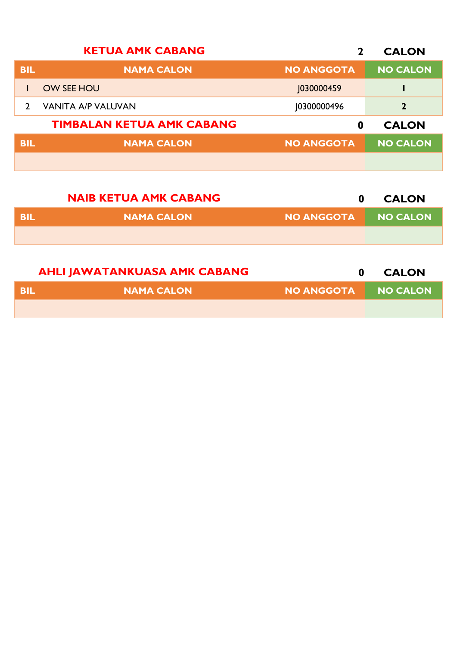| <b>KETUA AMK CABANG</b><br>$\mathbf 2$ |                                  |                   | <b>CALON</b>    |
|----------------------------------------|----------------------------------|-------------------|-----------------|
| <b>BIL</b>                             | <b>NAMA CALON</b>                | <b>NO ANGGOTA</b> | <b>NO CALON</b> |
|                                        | <b>OW SEE HOU</b>                | J030000459        |                 |
|                                        | <b>VANITA A/P VALUVAN</b>        | 10300000496       | $\mathbf 2$     |
|                                        | <b>TIMBALAN KETUA AMK CABANG</b> | 0                 | <b>CALON</b>    |
| <b>BIL</b>                             | <b>NAMA CALON</b>                | <b>NO ANGGOTA</b> | <b>NO CALON</b> |
|                                        |                                  |                   |                 |

|            | <b>NAIB KETUA AMK CABANG</b> | 0                 | <b>CALON</b> |
|------------|------------------------------|-------------------|--------------|
| <b>BIL</b> | <b>NAMA CALON</b>            | <b>NO ANGGOTA</b> | NO CALON     |
|            |                              |                   |              |
|            |                              |                   |              |

| <b>AHLI JAWATANKUASA AMK CABANG</b> |            |                     | <b>CALON</b> |
|-------------------------------------|------------|---------------------|--------------|
| -BIL                                | NAMA CALON | NO ANGGOTA NO CALON |              |
|                                     |            |                     |              |